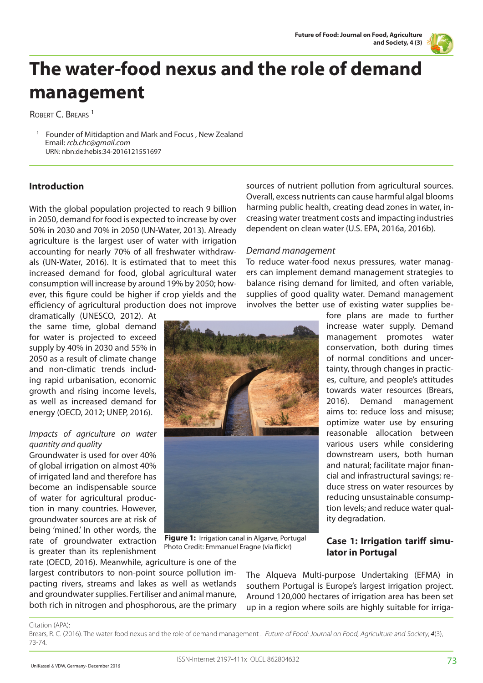

# **The water-food nexus and the role of demand management**

ROBERT C. BREARS<sup>1</sup>

1 Founder of Mitidaption and Mark and Focus , New Zealand Email: *rcb.chc@gmail.com* URN: nbn:de:hebis:34-2016121551697

# **Introduction**

With the global population projected to reach 9 billion in 2050, demand for food is expected to increase by over 50% in 2030 and 70% in 2050 (UN-Water, 2013). Already agriculture is the largest user of water with irrigation accounting for nearly 70% of all freshwater withdrawals (UN-Water, 2016). It is estimated that to meet this increased demand for food, global agricultural water consumption will increase by around 19% by 2050; however, this figure could be higher if crop yields and the efficiency of agricultural production does not improve

dramatically (UNESCO, 2012). At the same time, global demand for water is projected to exceed supply by 40% in 2030 and 55% in 2050 as a result of climate change and non-climatic trends including rapid urbanisation, economic growth and rising income levels, as well as increased demand for energy (OECD, 2012; UNEP, 2016).

## *Impacts of agriculture on water quantity and quality*

Groundwater is used for over 40% of global irrigation on almost 40% of irrigated land and therefore has become an indispensable source of water for agricultural production in many countries. However, groundwater sources are at risk of being 'mined.' In other words, the rate of groundwater extraction is greater than its replenishment

sources of nutrient pollution from agricultural sources. Overall, excess nutrients can cause harmful algal blooms harming public health, creating dead zones in water, increasing water treatment costs and impacting industries dependent on clean water (U.S. EPA, 2016a, 2016b).

## *Demand management*

To reduce water-food nexus pressures, water managers can implement demand management strategies to balance rising demand for limited, and often variable, supplies of good quality water. Demand management involves the better use of existing water supplies be-

fore plans are made to further increase water supply. Demand management promotes water conservation, both during times of normal conditions and uncertainty, through changes in practices, culture, and people's attitudes towards water resources (Brears, 2016). Demand management aims to: reduce loss and misuse; optimize water use by ensuring reasonable allocation between various users while considering downstream users, both human and natural; facilitate major financial and infrastructural savings; reduce stress on water resources by reducing unsustainable consumption levels; and reduce water quality degradation.

 **Figure 1:** Irrigation canal in Algarve, Portugal Photo Credit: Emmanuel Eragne (via flickr)

**Case 1: Irrigation tariff simulator in Portugal** 

rate (OECD, 2016). Meanwhile, agriculture is one of the largest contributors to non-point source pollution impacting rivers, streams and lakes as well as wetlands and groundwater supplies. Fertiliser and animal manure, both rich in nitrogen and phosphorous, are the primary

The Alqueva Multi-purpose Undertaking (EFMA) in southern Portugal is Europe's largest irrigation project. Around 120,000 hectares of irrigation area has been set up in a region where soils are highly suitable for irriga-

#### Citation (APA):

Brears, R. C. (2016). The water-food nexus and the role of demand management . Future of Food: Journal on Food, Agriculture and Society, *4*(3), 73-74.